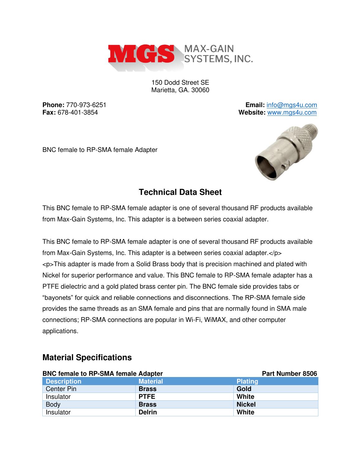

150 Dodd Street SE Marietta, GA. 30060

**Phone:** 770-973-6251 **Email:** [info@mgs4u.com](mailto:info@mgs4u.com) **Fax:** 678-401-3854 **Website:** [www.mgs4u.com](http://www.mgs4u.com/)

BNC female to RP-SMA female Adapter



## **Technical Data Sheet**

This BNC female to RP-SMA female adapter is one of several thousand RF products available from Max-Gain Systems, Inc. This adapter is a between series coaxial adapter.

This BNC female to RP-SMA female adapter is one of several thousand RF products available from Max-Gain Systems, Inc. This adapter is a between series coaxial adapter.</p> <p>This adapter is made from a Solid Brass body that is precision machined and plated with Nickel for superior performance and value. This BNC female to RP-SMA female adapter has a PTFE dielectric and a gold plated brass center pin. The BNC female side provides tabs or "bayonets" for quick and reliable connections and disconnections. The RP-SMA female side provides the same threads as an SMA female and pins that are normally found in SMA male connections; RP-SMA connections are popular in Wi-Fi, WiMAX, and other computer applications.

## **Material Specifications**

| <b>BNC female to RP-SMA female Adapter</b> |                 | Part Number 8506 |
|--------------------------------------------|-----------------|------------------|
| <b>Description</b>                         | <b>Material</b> | <b>Plating</b>   |
| Center Pin                                 | <b>Brass</b>    | Gold             |
| Insulator                                  | <b>PTFE</b>     | White            |
| <b>Body</b>                                | <b>Brass</b>    | <b>Nickel</b>    |
| Insulator                                  | <b>Delrin</b>   | White            |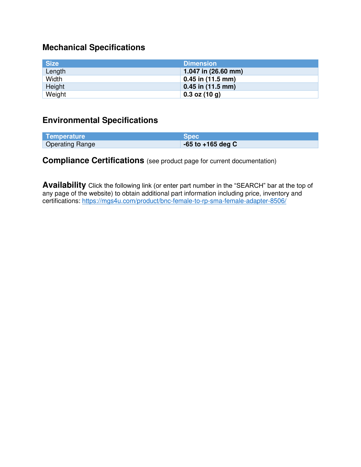# **Mechanical Specifications**

| Size   | <b>Dimension</b>    |
|--------|---------------------|
| Length | 1.047 in (26.60 mm) |
| Width  | $0.45$ in (11.5 mm) |
| Height | $0.45$ in (11.5 mm) |
| Weight | $0.3$ oz (10 g)     |

#### **Environmental Specifications**

| Temperature            | <b>Spec</b>           |
|------------------------|-----------------------|
| <b>Operating Range</b> | $-65$ to $+165$ deg C |

## **Compliance Certifications** (see product page for current documentation)

**Availability** Click the following link (or enter part number in the "SEARCH" bar at the top of any page of the website) to obtain additional part information including price, inventory and certifications:<https://mgs4u.com/product/bnc-female-to-rp-sma-female-adapter-8506/>